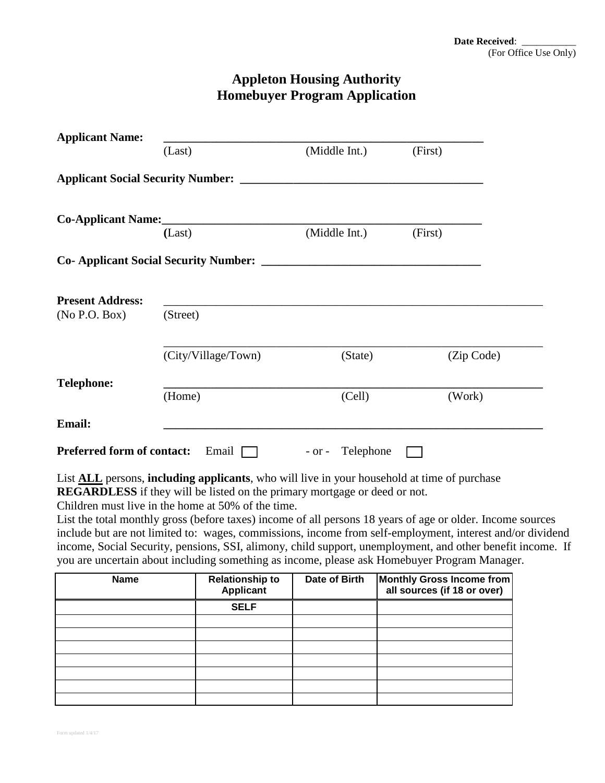## **Appleton Housing Authority Homebuyer Program Application**

| <b>Applicant Name:</b>                      |                     |                  |            |
|---------------------------------------------|---------------------|------------------|------------|
|                                             | (Last)              | (Middle Int.)    | (First)    |
|                                             |                     |                  |            |
|                                             | Co-Applicant Name:  |                  |            |
|                                             | (Last)              | (Middle Int.)    | (First)    |
| <b>Co-Applicant Social Security Number:</b> |                     |                  |            |
| <b>Present Address:</b><br>(No P.O. Box)    | (Street)            |                  |            |
|                                             |                     |                  |            |
|                                             | (City/Village/Town) | (State)          | (Zip Code) |
| <b>Telephone:</b>                           |                     |                  |            |
|                                             | (Home)              | (Cell)           | (Work)     |
| <b>Email:</b>                               |                     |                  |            |
| <b>Preferred form of contact:</b>           | Email $\Box$        | - or - Telephone |            |

List **ALL** persons, **including applicants**, who will live in your household at time of purchase **REGARDLESS** if they will be listed on the primary mortgage or deed or not.

Children must live in the home at 50% of the time.

List the total monthly gross (before taxes) income of all persons 18 years of age or older. Income sources include but are not limited to: wages, commissions, income from self-employment, interest and/or dividend income, Social Security, pensions, SSI, alimony, child support, unemployment, and other benefit income. If you are uncertain about including something as income, please ask Homebuyer Program Manager.

| <b>Name</b> | <b>Relationship to</b><br><b>Applicant</b> | Date of Birth | <b>Monthly Gross Income from</b><br>all sources (if 18 or over) |
|-------------|--------------------------------------------|---------------|-----------------------------------------------------------------|
|             | <b>SELF</b>                                |               |                                                                 |
|             |                                            |               |                                                                 |
|             |                                            |               |                                                                 |
|             |                                            |               |                                                                 |
|             |                                            |               |                                                                 |
|             |                                            |               |                                                                 |
|             |                                            |               |                                                                 |
|             |                                            |               |                                                                 |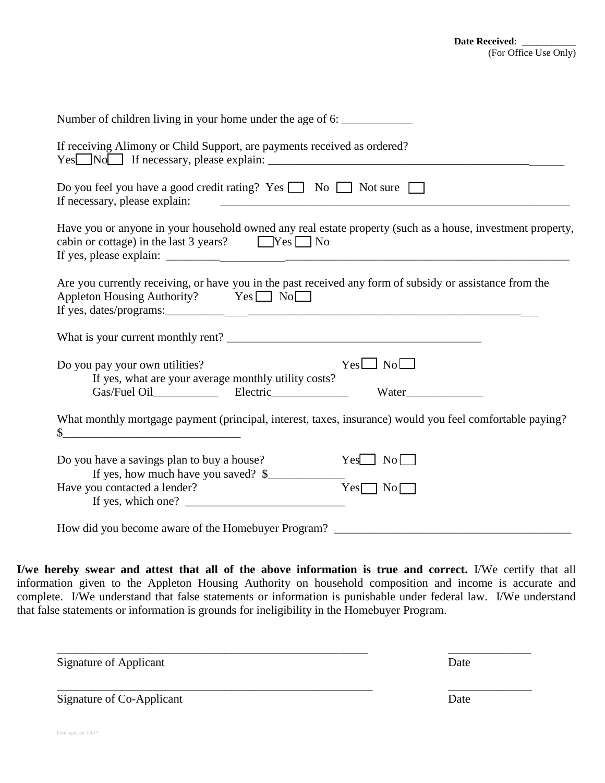| Number of children living in your home under the age of 6:                                                                                                                |
|---------------------------------------------------------------------------------------------------------------------------------------------------------------------------|
| If receiving Alimony or Child Support, are payments received as ordered?                                                                                                  |
| Do you feel you have a good credit rating? Yes $\Box$ No $\Box$ Not sure $\Box$<br>If necessary, please explain:                                                          |
| Have you or anyone in your household owned any real estate property (such as a house, investment property,<br>cabin or cottage) in the last 3 years? $\Box$ Yes $\Box$ No |
| Are you currently receiving, or have you in the past received any form of subsidy or assistance from the<br>Appleton Housing Authority? Yes No                            |
|                                                                                                                                                                           |
| $Yes \Box No \Box$<br>Do you pay your own utilities?<br>If yes, what are your average monthly utility costs?                                                              |
| What monthly mortgage payment (principal, interest, taxes, insurance) would you feel comfortable paying?                                                                  |
| Do you have a savings plan to buy a house?<br>$Yes \Box No \Box$<br>If yes, how much have you saved? \$                                                                   |
| Have you contacted a lender?<br>$Yes \nightharpoonup No \nightharpoonup$<br>If yes, which one? $\qquad \qquad$                                                            |
| How did you become aware of the Homebuyer Program?                                                                                                                        |

**I/we hereby swear and attest that all of the above information is true and correct.** I/We certify that all information given to the Appleton Housing Authority on household composition and income is accurate and complete. I/We understand that false statements or information is punishable under federal law. I/We understand that false statements or information is grounds for ineligibility in the Homebuyer Program.

| <b>Signature of Applicant</b> | Date |
|-------------------------------|------|
| Signature of Co-Applicant     | Date |

Form updated 1/4/17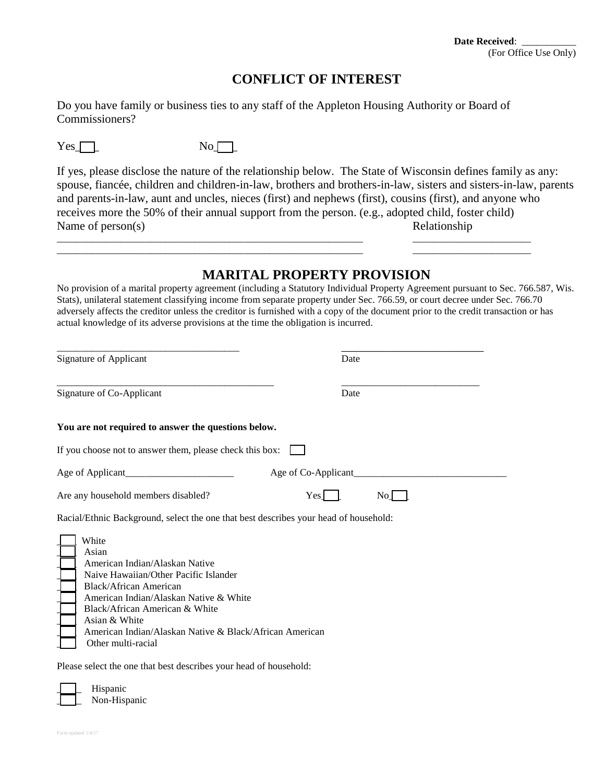#### **Date Received**: \_\_\_\_\_\_\_\_\_\_\_ (For Office Use Only)

#### **CONFLICT OF INTEREST**

Do you have family or business ties to any staff of the Appleton Housing Authority or Board of Commissioners?

| ٠ |
|---|
|   |

 $No$ 

If yes, please disclose the nature of the relationship below. The State of Wisconsin defines family as any: spouse, fiancée, children and children-in-law, brothers and brothers-in-law, sisters and sisters-in-law, parents and parents-in-law, aunt and uncles, nieces (first) and nephews (first), cousins (first), and anyone who receives more the 50% of their annual support from the person. (e.g., adopted child, foster child) Name of person(s) Relationship

\_\_\_\_\_\_\_\_\_\_\_\_\_\_\_\_\_\_\_\_\_\_\_\_\_\_\_\_\_\_\_\_\_\_\_\_\_\_\_\_\_\_\_\_\_\_\_\_\_\_\_\_\_\_\_\_\_\_\_\_\_\_ \_\_\_\_\_\_\_\_\_\_\_\_\_\_\_\_\_\_\_\_\_\_\_\_ \_\_\_\_\_\_\_\_\_\_\_\_\_\_\_\_\_\_\_\_\_\_\_\_\_\_\_\_\_\_\_\_\_\_\_\_\_\_\_\_\_\_\_\_\_\_\_\_\_\_\_\_\_\_\_\_\_\_\_\_\_\_ \_\_\_\_\_\_\_\_\_\_\_\_\_\_\_\_\_\_\_\_\_\_\_\_

### **MARITAL PROPERTY PROVISION**

No provision of a marital property agreement (including a Statutory Individual Property Agreement pursuant to Sec. 766.587, Wis. Stats), unilateral statement classifying income from separate property under Sec. 766.59, or court decree under Sec. 766.70 adversely affects the creditor unless the creditor is furnished with a copy of the document prior to the credit transaction or has actual knowledge of its adverse provisions at the time the obligation is incurred.

| <b>Signature of Applicant</b>                                                                                                                                                                                                                                                                            | Date |  |  |
|----------------------------------------------------------------------------------------------------------------------------------------------------------------------------------------------------------------------------------------------------------------------------------------------------------|------|--|--|
| Signature of Co-Applicant                                                                                                                                                                                                                                                                                | Date |  |  |
| You are not required to answer the questions below.                                                                                                                                                                                                                                                      |      |  |  |
| If you choose not to answer them, please check this box:                                                                                                                                                                                                                                                 |      |  |  |
| Age of Co-Applicant                                                                                                                                                                                                                                                                                      |      |  |  |
| Are any household members disabled?<br>Yes                                                                                                                                                                                                                                                               | No l |  |  |
| Racial/Ethnic Background, select the one that best describes your head of household:                                                                                                                                                                                                                     |      |  |  |
| White<br>Asian<br>American Indian/Alaskan Native<br>Naive Hawaiian/Other Pacific Islander<br><b>Black/African American</b><br>American Indian/Alaskan Native & White<br>Black/African American & White<br>Asian & White<br>American Indian/Alaskan Native & Black/African American<br>Other multi-racial |      |  |  |
| Please select the one that best describes your head of household:                                                                                                                                                                                                                                        |      |  |  |

Hispanic Non-Hispanic